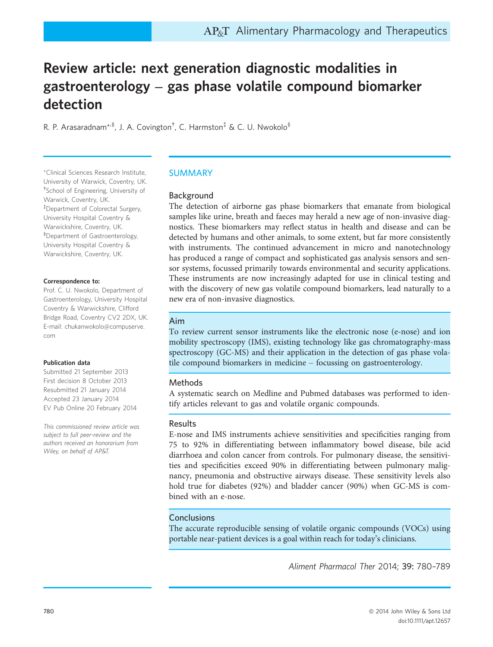# Review article: next generation diagnostic modalities in gastroenterology – gas phase volatile compound biomarker detection

R. P. Arasaradnam\*<sup>,§</sup>, J. A. Covington<sup>†</sup>, C. Harmston<sup>‡</sup> & C. U. Nwokolo<sup>§</sup>

\*Clinical Sciences Research Institute, University of Warwick, Coventry, UK. † School of Engineering, University of Warwick, Coventry, UK. ‡ Department of Colorectal Surgery, University Hospital Coventry & Warwickshire, Coventry, UK. § Department of Gastroenterology, University Hospital Coventry & Warwickshire, Coventry, UK.

#### Correspondence to:

Prof. C. U. Nwokolo, Department of Gastroenterology, University Hospital Coventry & Warwickshire, Clifford Bridge Road, Coventry CV2 2DX, UK. E-mail: chukanwokolo@compuserve. com

#### Publication data

Submitted 21 September 2013 First decision 8 October 2013 Resubmitted 21 January 2014 Accepted 23 January 2014 EV Pub Online 20 February 2014

This commissioned review article was subject to full peer-review and the authors received an honorarium from Wiley, on behalf of AP&T.

## SUMMARY

## Background

The detection of airborne gas phase biomarkers that emanate from biological samples like urine, breath and faeces may herald a new age of non-invasive diagnostics. These biomarkers may reflect status in health and disease and can be detected by humans and other animals, to some extent, but far more consistently with instruments. The continued advancement in micro and nanotechnology has produced a range of compact and sophisticated gas analysis sensors and sensor systems, focussed primarily towards environmental and security applications. These instruments are now increasingly adapted for use in clinical testing and with the discovery of new gas volatile compound biomarkers, lead naturally to a new era of non-invasive diagnostics.

#### Aim

To review current sensor instruments like the electronic nose (e-nose) and ion mobility spectroscopy (IMS), existing technology like gas chromatography-mass spectroscopy (GC-MS) and their application in the detection of gas phase volatile compound biomarkers in medicine – focussing on gastroenterology.

## Methods

A systematic search on Medline and Pubmed databases was performed to identify articles relevant to gas and volatile organic compounds.

## Results

E-nose and IMS instruments achieve sensitivities and specificities ranging from 75 to 92% in differentiating between inflammatory bowel disease, bile acid diarrhoea and colon cancer from controls. For pulmonary disease, the sensitivities and specificities exceed 90% in differentiating between pulmonary malignancy, pneumonia and obstructive airways disease. These sensitivity levels also hold true for diabetes (92%) and bladder cancer (90%) when GC-MS is combined with an e-nose.

## **Conclusions**

The accurate reproducible sensing of volatile organic compounds (VOCs) using portable near-patient devices is a goal within reach for today's clinicians.

Aliment Pharmacol Ther 2014; 39: 780–789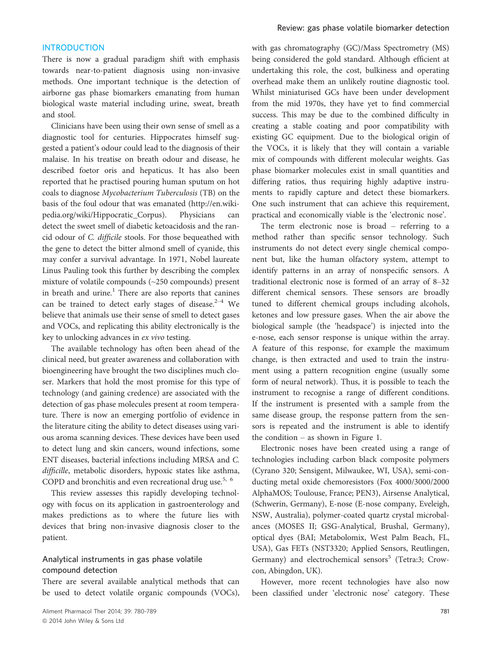#### INTRODUCTION

There is now a gradual paradigm shift with emphasis towards near-to-patient diagnosis using non-invasive methods. One important technique is the detection of airborne gas phase biomarkers emanating from human biological waste material including urine, sweat, breath and stool.

Clinicians have been using their own sense of smell as a diagnostic tool for centuries. Hippocrates himself suggested a patient's odour could lead to the diagnosis of their malaise. In his treatise on breath odour and disease, he described foetor oris and hepaticus. It has also been reported that he practised pouring human sputum on hot coals to diagnose Mycobacterium Tuberculosis (TB) on the basis of the foul odour that was emanated (http://en.wikipedia.org/wiki/Hippocratic\_Corpus). Physicians can detect the sweet smell of diabetic ketoacidosis and the rancid odour of C. difficile stools. For those bequeathed with the gene to detect the bitter almond smell of cyanide, this may confer a survival advantage. In 1971, Nobel laureate Linus Pauling took this further by describing the complex mixture of volatile compounds (~250 compounds) present in breath and urine.<sup>1</sup> There are also reports that canines can be trained to detect early stages of disease.<sup>2-4</sup> We believe that animals use their sense of smell to detect gases and VOCs, and replicating this ability electronically is the key to unlocking advances in ex vivo testing.

The available technology has often been ahead of the clinical need, but greater awareness and collaboration with bioengineering have brought the two disciplines much closer. Markers that hold the most promise for this type of technology (and gaining credence) are associated with the detection of gas phase molecules present at room temperature. There is now an emerging portfolio of evidence in the literature citing the ability to detect diseases using various aroma scanning devices. These devices have been used to detect lung and skin cancers, wound infections, some ENT diseases, bacterial infections including MRSA and C. difficille, metabolic disorders, hypoxic states like asthma, COPD and bronchitis and even recreational drug use.<sup>5, 6</sup>

This review assesses this rapidly developing technology with focus on its application in gastroenterology and makes predictions as to where the future lies with devices that bring non-invasive diagnosis closer to the patient.

## Analytical instruments in gas phase volatile compound detection

There are several available analytical methods that can be used to detect volatile organic compounds (VOCs), with gas chromatography (GC)/Mass Spectrometry (MS) being considered the gold standard. Although efficient at undertaking this role, the cost, bulkiness and operating overhead make them an unlikely routine diagnostic tool. Whilst miniaturised GCs have been under development from the mid 1970s, they have yet to find commercial success. This may be due to the combined difficulty in creating a stable coating and poor compatibility with existing GC equipment. Due to the biological origin of the VOCs, it is likely that they will contain a variable mix of compounds with different molecular weights. Gas phase biomarker molecules exist in small quantities and differing ratios, thus requiring highly adaptive instruments to rapidly capture and detect these biomarkers. One such instrument that can achieve this requirement, practical and economically viable is the 'electronic nose'.

The term electronic nose is broad – referring to a method rather than specific sensor technology. Such instruments do not detect every single chemical component but, like the human olfactory system, attempt to identify patterns in an array of nonspecific sensors. A traditional electronic nose is formed of an array of 8–32 different chemical sensors. These sensors are broadly tuned to different chemical groups including alcohols, ketones and low pressure gases. When the air above the biological sample (the 'headspace') is injected into the e-nose, each sensor response is unique within the array. A feature of this response, for example the maximum change, is then extracted and used to train the instrument using a pattern recognition engine (usually some form of neural network). Thus, it is possible to teach the instrument to recognise a range of different conditions. If the instrument is presented with a sample from the same disease group, the response pattern from the sensors is repeated and the instrument is able to identify the condition – as shown in Figure 1.

Electronic noses have been created using a range of technologies including carbon black composite polymers (Cyrano 320; Sensigent, Milwaukee, WI, USA), semi-conducting metal oxide chemoresistors (Fox 4000/3000/2000 AlphaMOS; Toulouse, France; PEN3), Airsense Analytical, (Schwerin, Germany), E-nose (E-nose company, Eveleigh, NSW, Australia), polymer-coated quartz crystal microbalances (MOSES II; GSG-Analytical, Brushal, Germany), optical dyes (BAI; Metabolomix, West Palm Beach, FL, USA), Gas FETs (NST3320; Applied Sensors, Reutlingen, Germany) and electrochemical sensors<sup>5</sup> (Tetra:3; Crowcon, Abingdon, UK).

However, more recent technologies have also now been classified under 'electronic nose' category. These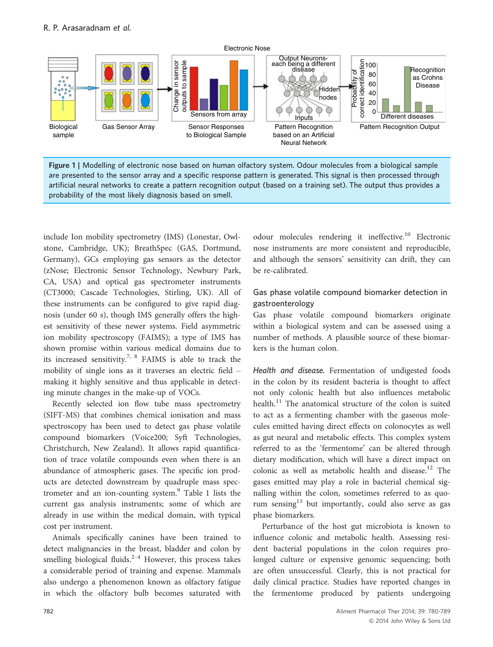

Figure 1 | Modelling of electronic nose based on human olfactory system. Odour molecules from a biological sample are presented to the sensor array and a specific response pattern is generated. This signal is then processed through artificial neural networks to create a pattern recognition output (based on a training set). The output thus provides a probability of the most likely diagnosis based on smell.

include Ion mobility spectrometry (IMS) (Lonestar, Owlstone, Cambridge, UK); BreathSpec (GAS, Dortmund, Germany), GCs employing gas sensors as the detector (zNose; Electronic Sensor Technology, Newbury Park, CA, USA) and optical gas spectrometer instruments (CT3000; Cascade Technologies, Stirling, UK). All of these instruments can be configured to give rapid diagnosis (under 60 s), though IMS generally offers the highest sensitivity of these newer systems. Field asymmetric ion mobility spectroscopy (FAIMS); a type of IMS has shown promise within various medical domains due to its increased sensitivity.<sup>7, 8</sup> FAIMS is able to track the mobility of single ions as it traverses an electric field – making it highly sensitive and thus applicable in detecting minute changes in the make-up of VOCs.

Recently selected ion flow tube mass spectrometry (SIFT-MS) that combines chemical ionisation and mass spectroscopy has been used to detect gas phase volatile compound biomarkers (Voice200; Syft Technologies, Christchurch, New Zealand). It allows rapid quantification of trace volatile compounds even when there is an abundance of atmospheric gases. The specific ion products are detected downstream by quadruple mass spectrometer and an ion-counting system.<sup>9</sup> Table 1 lists the current gas analysis instruments; some of which are already in use within the medical domain, with typical cost per instrument.

Animals specifically canines have been trained to detect malignancies in the breast, bladder and colon by smelling biological fluids.<sup>2–4</sup> However, this process takes a considerable period of training and expense. Mammals also undergo a phenomenon known as olfactory fatigue in which the olfactory bulb becomes saturated with

odour molecules rendering it ineffective.<sup>10</sup> Electronic nose instruments are more consistent and reproducible, and although the sensors' sensitivity can drift, they can be re-calibrated.

# Gas phase volatile compound biomarker detection in gastroenterology

Gas phase volatile compound biomarkers originate within a biological system and can be assessed using a number of methods. A plausible source of these biomarkers is the human colon.

Health and disease. Fermentation of undigested foods in the colon by its resident bacteria is thought to affect not only colonic health but also influences metabolic health.<sup>11</sup> The anatomical structure of the colon is suited to act as a fermenting chamber with the gaseous molecules emitted having direct effects on colonocytes as well as gut neural and metabolic effects. This complex system referred to as the 'fermentome' can be altered through dietary modification, which will have a direct impact on colonic as well as metabolic health and disease.<sup>12</sup> The gases emitted may play a role in bacterial chemical signalling within the colon, sometimes referred to as quorum sensing $13$  but importantly, could also serve as gas phase biomarkers.

Perturbance of the host gut microbiota is known to influence colonic and metabolic health. Assessing resident bacterial populations in the colon requires prolonged culture or expensive genomic sequencing; both are often unsuccessful. Clearly, this is not practical for daily clinical practice. Studies have reported changes in the fermentome produced by patients undergoing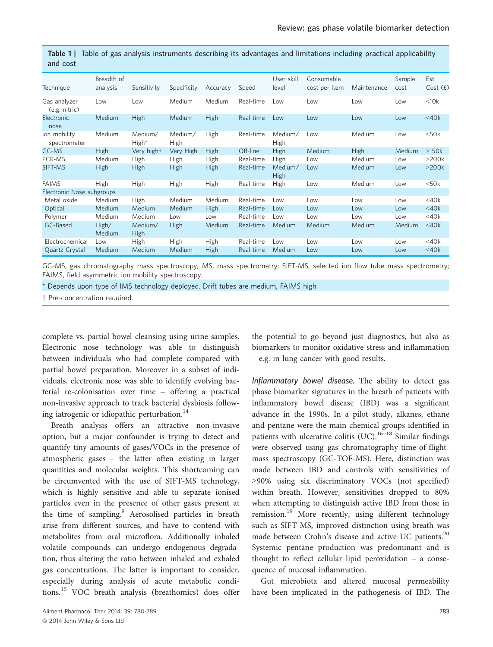| anu cost                      |                        |                        |                        |             |           |                        |                             |             |                |                 |
|-------------------------------|------------------------|------------------------|------------------------|-------------|-----------|------------------------|-----------------------------|-------------|----------------|-----------------|
| Technique                     | Breadth of<br>analysis | Sensitivity            | Specificity            | Accuracy    | Speed     | User skill<br>level    | Consumable<br>cost per item | Maintenance | Sample<br>cost | Est.<br>Cost(f) |
| Gas analyzer<br>(e.g. nitric) | Low                    | Low                    | Medium                 | Medium      | Real-time | Low                    | Low                         | Low         | Low            | <10k            |
| Electronic<br>nose            | Medium                 | <b>High</b>            | Medium                 | High        | Real-time | Low                    | Low                         | Low         | Low            | $<$ 40 $k$      |
| lon mobility<br>spectrometer  | Medium                 | Medium/<br>High*       | Medium/<br><b>High</b> | High        | Real-time | Medium/<br><b>High</b> | Low                         | Medium      | Low            | $<$ 50 $k$      |
| GC-MS                         | <b>High</b>            | Very hight             | Very High              | High        | Off-line  | <b>High</b>            | Medium                      | <b>High</b> | Medium         | $>150k$         |
| PCR-MS                        | Medium                 | High                   | High                   | <b>High</b> | Real-time | High                   | Low                         | Medium      | Low            | >200k           |
| SIFT-MS                       | <b>High</b>            | <b>High</b>            | <b>High</b>            | High        | Real-time | Medium/<br><b>High</b> | Low                         | Medium      | Low            | >200k           |
| <b>FAIMS</b>                  | <b>High</b>            | <b>High</b>            | <b>High</b>            | High        | Real-time | High                   | Low                         | Medium      | Low            | $<$ 50 $k$      |
| Electronic Nose subgroups     |                        |                        |                        |             |           |                        |                             |             |                |                 |
| Metal oxide                   | Medium                 | <b>High</b>            | Medium                 | Medium      | Real-time | Low                    | Low                         | Low         | Low            | $<$ 40 $k$      |
| Optical                       | Medium                 | Medium                 | Medium                 | <b>High</b> | Real-time | Low                    | Low                         | Low         | Low            | $<$ 40 $k$      |
| Polymer                       | Medium                 | Medium                 | Low                    | Low         | Real-time | Low                    | Low                         | Low         | Low            | $<$ 40 $k$      |
| GC-Based                      | High/<br>Medium        | Medium/<br><b>High</b> | <b>High</b>            | Medium      | Real-time | <b>Medium</b>          | <b>Medium</b>               | Medium      | Medium         | $<$ 40 $k$      |
| Electrochemical               | Low                    | <b>High</b>            | <b>High</b>            | High        | Real-time | Low                    | Low                         | Low         | Low            | $<$ 40 $k$      |
| Quartz Crystal                | Medium                 | Medium                 | Medium                 | <b>High</b> | Real-time | Medium                 | Low                         | Low         | Low            | $<$ 40 $k$      |

Table 1 | Table of gas analysis instruments describing its advantages and limitations including practical applicability and cost

GC-MS, gas chromatography mass spectroscopy; MS, mass spectrometry; SIFT-MS, selected ion flow tube mass spectrometry; FAIMS, field asymmetric ion mobility spectroscopy.

\* Depends upon type of IMS technology deployed. Drift tubes are medium, FAIMS high.

† Pre-concentration required.

complete vs. partial bowel cleansing using urine samples. Electronic nose technology was able to distinguish between individuals who had complete compared with partial bowel preparation. Moreover in a subset of individuals, electronic nose was able to identify evolving bacterial re-colonisation over time – offering a practical non-invasive approach to track bacterial dysbiosis following iatrogenic or idiopathic perturbation.<sup>14</sup>

Breath analysis offers an attractive non-invasive option, but a major confounder is trying to detect and quantify tiny amounts of gases/VOCs in the presence of atmospheric gases – the latter often existing in larger quantities and molecular weights. This shortcoming can be circumvented with the use of SIFT-MS technology, which is highly sensitive and able to separate ionised particles even in the presence of other gases present at the time of sampling.<sup>9</sup> Aerosolised particles in breath arise from different sources, and have to contend with metabolites from oral microflora. Additionally inhaled volatile compounds can undergo endogenous degradation, thus altering the ratio between inhaled and exhaled gas concentrations. The latter is important to consider, especially during analysis of acute metabolic conditions.<sup>15</sup> VOC breath analysis (breathomics) does offer

Aliment Pharmacol Ther 2014: 39: 780-789 783 ª 2014 John Wiley & Sons Ltd

the potential to go beyond just diagnostics, but also as biomarkers to monitor oxidative stress and inflammation – e.g. in lung cancer with good results.

Inflammatory bowel disease. The ability to detect gas phase biomarker signatures in the breath of patients with inflammatory bowel disease (IBD) was a significant advance in the 1990s. In a pilot study, alkanes, ethane and pentane were the main chemical groups identified in patients with ulcerative colitis  $(UC).$ <sup>16–18</sup> Similar findings were observed using gas chromatography-time-of-flightmass spectroscopy (GC-TOF-MS). Here, distinction was made between IBD and controls with sensitivities of >90% using six discriminatory VOCs (not specified) within breath. However, sensitivities dropped to 80% when attempting to distinguish active IBD from those in remission.<sup>19</sup> More recently, using different technology such as SIFT-MS, improved distinction using breath was made between Crohn's disease and active UC patients.<sup>20</sup> Systemic pentane production was predominant and is thought to reflect cellular lipid peroxidation – a consequence of mucosal inflammation.

Gut microbiota and altered mucosal permeability have been implicated in the pathogenesis of IBD. The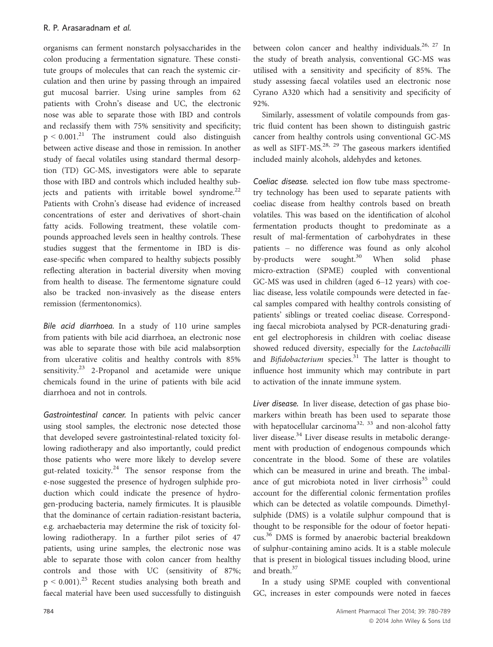organisms can ferment nonstarch polysaccharides in the colon producing a fermentation signature. These constitute groups of molecules that can reach the systemic circulation and then urine by passing through an impaired gut mucosal barrier. Using urine samples from 62 patients with Crohn's disease and UC, the electronic nose was able to separate those with IBD and controls and reclassify them with 75% sensitivity and specificity;  $p \leq 0.001$ <sup>21</sup> The instrument could also distinguish between active disease and those in remission. In another study of faecal volatiles using standard thermal desorption (TD) GC-MS, investigators were able to separate those with IBD and controls which included healthy subjects and patients with irritable bowel syndrome.<sup>22</sup> Patients with Crohn's disease had evidence of increased concentrations of ester and derivatives of short-chain fatty acids. Following treatment, these volatile compounds approached levels seen in healthy controls. These studies suggest that the fermentome in IBD is disease-specific when compared to healthy subjects possibly reflecting alteration in bacterial diversity when moving from health to disease. The fermentome signature could also be tracked non-invasively as the disease enters remission (fermentonomics).

Bile acid diarrhoea. In a study of 110 urine samples from patients with bile acid diarrhoea, an electronic nose was able to separate those with bile acid malabsorption from ulcerative colitis and healthy controls with 85% sensitivity.<sup>23</sup> 2-Propanol and acetamide were unique chemicals found in the urine of patients with bile acid diarrhoea and not in controls.

Gastrointestinal cancer. In patients with pelvic cancer using stool samples, the electronic nose detected those that developed severe gastrointestinal-related toxicity following radiotherapy and also importantly, could predict those patients who were more likely to develop severe gut-related toxicity. $24$  The sensor response from the e-nose suggested the presence of hydrogen sulphide production which could indicate the presence of hydrogen-producing bacteria, namely firmicutes. It is plausible that the dominance of certain radiation-resistant bacteria, e.g. archaebacteria may determine the risk of toxicity following radiotherapy. In a further pilot series of 47 patients, using urine samples, the electronic nose was able to separate those with colon cancer from healthy controls and those with UC (sensitivity of 87%;  $p \le 0.001$ <sup>25</sup> Recent studies analysing both breath and faecal material have been used successfully to distinguish between colon cancer and healthy individuals.<sup>26, 27</sup> In the study of breath analysis, conventional GC-MS was utilised with a sensitivity and specificity of 85%. The study assessing faecal volatiles used an electronic nose Cyrano A320 which had a sensitivity and specificity of 92%.

Similarly, assessment of volatile compounds from gastric fluid content has been shown to distinguish gastric cancer from healthy controls using conventional GC-MS as well as SIFT-MS.<sup>28, 29</sup> The gaseous markers identified included mainly alcohols, aldehydes and ketones.

Coeliac disease. selected ion flow tube mass spectrometry technology has been used to separate patients with coeliac disease from healthy controls based on breath volatiles. This was based on the identification of alcohol fermentation products thought to predominate as a result of mal-fermentation of carbohydrates in these patients – no difference was found as only alcohol by-products were sought.<sup>30</sup> When solid phase micro-extraction (SPME) coupled with conventional GC-MS was used in children (aged 6–12 years) with coeliac disease, less volatile compounds were detected in faecal samples compared with healthy controls consisting of patients' siblings or treated coeliac disease. Corresponding faecal microbiota analysed by PCR-denaturing gradient gel electrophoresis in children with coeliac disease showed reduced diversity, especially for the Lactobacilli and Bifidobacterium species. $31$  The latter is thought to influence host immunity which may contribute in part to activation of the innate immune system.

Liver disease. In liver disease, detection of gas phase biomarkers within breath has been used to separate those with hepatocellular carcinoma<sup>32, 33</sup> and non-alcohol fatty liver disease.<sup>34</sup> Liver disease results in metabolic derangement with production of endogenous compounds which concentrate in the blood. Some of these are volatiles which can be measured in urine and breath. The imbalance of gut microbiota noted in liver cirrhosis $35$  could account for the differential colonic fermentation profiles which can be detected as volatile compounds. Dimethylsulphide (DMS) is a volatile sulphur compound that is thought to be responsible for the odour of foetor hepaticus.<sup>36</sup> DMS is formed by anaerobic bacterial breakdown of sulphur-containing amino acids. It is a stable molecule that is present in biological tissues including blood, urine and breath.<sup>37</sup>

In a study using SPME coupled with conventional GC, increases in ester compounds were noted in faeces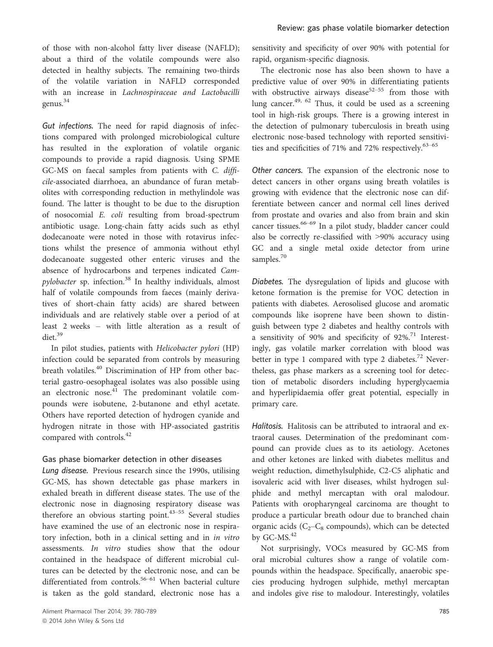of those with non-alcohol fatty liver disease (NAFLD); about a third of the volatile compounds were also detected in healthy subjects. The remaining two-thirds of the volatile variation in NAFLD corresponded with an increase in Lachnospiraceae and Lactobacilli genus.<sup>34</sup>

Gut infections. The need for rapid diagnosis of infections compared with prolonged microbiological culture has resulted in the exploration of volatile organic compounds to provide a rapid diagnosis. Using SPME GC-MS on faecal samples from patients with C. difficile-associated diarrhoea, an abundance of furan metabolites with corresponding reduction in methylindole was found. The latter is thought to be due to the disruption of nosocomial E. coli resulting from broad-spectrum antibiotic usage. Long-chain fatty acids such as ethyl dodecanoate were noted in those with rotavirus infections whilst the presence of ammonia without ethyl dodecanoate suggested other enteric viruses and the absence of hydrocarbons and terpenes indicated Campylobacter sp. infection.<sup>38</sup> In healthy individuals, almost half of volatile compounds from faeces (mainly derivatives of short-chain fatty acids) are shared between individuals and are relatively stable over a period of at least 2 weeks – with little alteration as a result of diet.<sup>39</sup>

In pilot studies, patients with Helicobacter pylori (HP) infection could be separated from controls by measuring breath volatiles.<sup>40</sup> Discrimination of HP from other bacterial gastro-oesophageal isolates was also possible using an electronic nose. $41$  The predominant volatile compounds were isobutene, 2-butanone and ethyl acetate. Others have reported detection of hydrogen cyanide and hydrogen nitrate in those with HP-associated gastritis compared with controls.<sup>42</sup>

## Gas phase biomarker detection in other diseases

Lung disease. Previous research since the 1990s, utilising GC-MS, has shown detectable gas phase markers in exhaled breath in different disease states. The use of the electronic nose in diagnosing respiratory disease was therefore an obvious starting point.<sup>43–55</sup> Several studies have examined the use of an electronic nose in respiratory infection, both in a clinical setting and in in vitro assessments. In vitro studies show that the odour contained in the headspace of different microbial cultures can be detected by the electronic nose, and can be differentiated from controls.<sup>56–61</sup> When bacterial culture is taken as the gold standard, electronic nose has a

sensitivity and specificity of over 90% with potential for rapid, organism-specific diagnosis.

The electronic nose has also been shown to have a predictive value of over 90% in differentiating patients with obstructive airways disease<sup>52–55</sup> from those with lung cancer.<sup>49, 62</sup> Thus, it could be used as a screening tool in high-risk groups. There is a growing interest in the detection of pulmonary tuberculosis in breath using electronic nose-based technology with reported sensitivities and specificities of 71% and 72% respectively. $63-65$ 

Other cancers. The expansion of the electronic nose to detect cancers in other organs using breath volatiles is growing with evidence that the electronic nose can differentiate between cancer and normal cell lines derived from prostate and ovaries and also from brain and skin cancer tissues.66–<sup>69</sup> In a pilot study, bladder cancer could also be correctly re-classified with >90% accuracy using GC and a single metal oxide detector from urine samples.<sup>70</sup>

Diabetes. The dysregulation of lipids and glucose with ketone formation is the premise for VOC detection in patients with diabetes. Aerosolised glucose and aromatic compounds like isoprene have been shown to distinguish between type 2 diabetes and healthy controls with a sensitivity of 90% and specificity of  $92\%$ .<sup>71</sup> Interestingly, gas volatile marker correlation with blood was better in type 1 compared with type 2 diabetes.<sup>72</sup> Nevertheless, gas phase markers as a screening tool for detection of metabolic disorders including hyperglycaemia and hyperlipidaemia offer great potential, especially in primary care.

Halitosis. Halitosis can be attributed to intraoral and extraoral causes. Determination of the predominant compound can provide clues as to its aetiology. Acetones and other ketones are linked with diabetes mellitus and weight reduction, dimethylsulphide, C2-C5 aliphatic and isovaleric acid with liver diseases, whilst hydrogen sulphide and methyl mercaptan with oral malodour. Patients with oropharyngeal carcinoma are thought to produce a particular breath odour due to branched chain organic acids  $(C_2-C_8$  compounds), which can be detected by  $GC-MS.<sup>42</sup>$ 

Not surprisingly, VOCs measured by GC-MS from oral microbial cultures show a range of volatile compounds within the headspace. Specifically, anaerobic species producing hydrogen sulphide, methyl mercaptan and indoles give rise to malodour. Interestingly, volatiles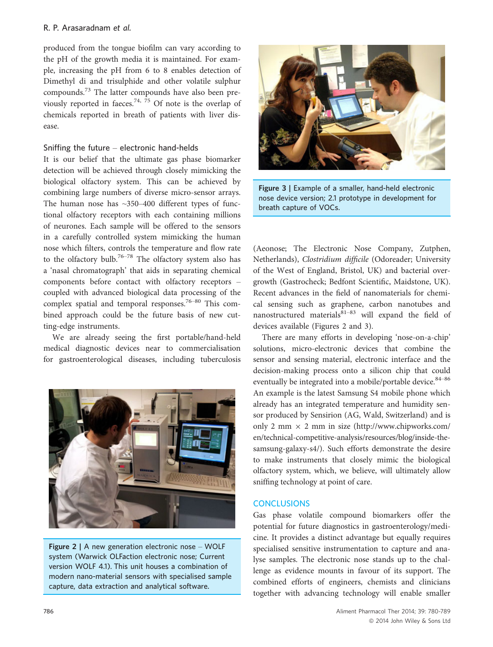## R. P. Arasaradnam et al.

produced from the tongue biofilm can vary according to the pH of the growth media it is maintained. For example, increasing the pH from 6 to 8 enables detection of Dimethyl di and trisulphide and other volatile sulphur compounds.<sup>73</sup> The latter compounds have also been previously reported in faeces.<sup>74, 75</sup> Of note is the overlap of chemicals reported in breath of patients with liver disease.

## Sniffing the future – electronic hand-helds

It is our belief that the ultimate gas phase biomarker detection will be achieved through closely mimicking the biological olfactory system. This can be achieved by combining large numbers of diverse micro-sensor arrays. The human nose has  $\sim$ 350–400 different types of functional olfactory receptors with each containing millions of neurones. Each sample will be offered to the sensors in a carefully controlled system mimicking the human nose which filters, controls the temperature and flow rate to the olfactory bulb.<sup>76–78</sup> The olfactory system also has a 'nasal chromatograph' that aids in separating chemical components before contact with olfactory receptors – coupled with advanced biological data processing of the complex spatial and temporal responses.<sup>76–80</sup> This combined approach could be the future basis of new cutting-edge instruments.

We are already seeing the first portable/hand-held medical diagnostic devices near to commercialisation for gastroenterological diseases, including tuberculosis



Figure 2 | A new generation electronic nose - WOLF system (Warwick OLFaction electronic nose; Current version WOLF 4.1). This unit houses a combination of modern nano-material sensors with specialised sample capture, data extraction and analytical software.



Figure 3 | Example of a smaller, hand-held electronic nose device version; 2.1 prototype in development for breath capture of VOCs.

(Aeonose; The Electronic Nose Company, Zutphen, Netherlands), Clostridium difficile (Odoreader; University of the West of England, Bristol, UK) and bacterial overgrowth (Gastrocheck; Bedfont Scientific, Maidstone, UK). Recent advances in the field of nanomaterials for chemical sensing such as graphene, carbon nanotubes and nanostructured materials $81-83$  will expand the field of devices available (Figures 2 and 3).

There are many efforts in developing 'nose-on-a-chip' solutions, micro-electronic devices that combine the sensor and sensing material, electronic interface and the decision-making process onto a silicon chip that could eventually be integrated into a mobile/portable device. $84-86$ An example is the latest Samsung S4 mobile phone which already has an integrated temperature and humidity sensor produced by Sensirion (AG, Wald, Switzerland) and is only 2 mm  $\times$  2 mm in size (http://www.chipworks.com/ en/technical-competitive-analysis/resources/blog/inside-thesamsung-galaxy-s4/). Such efforts demonstrate the desire to make instruments that closely mimic the biological olfactory system, which, we believe, will ultimately allow sniffing technology at point of care.

## **CONCLUSIONS**

Gas phase volatile compound biomarkers offer the potential for future diagnostics in gastroenterology/medicine. It provides a distinct advantage but equally requires specialised sensitive instrumentation to capture and analyse samples. The electronic nose stands up to the challenge as evidence mounts in favour of its support. The combined efforts of engineers, chemists and clinicians together with advancing technology will enable smaller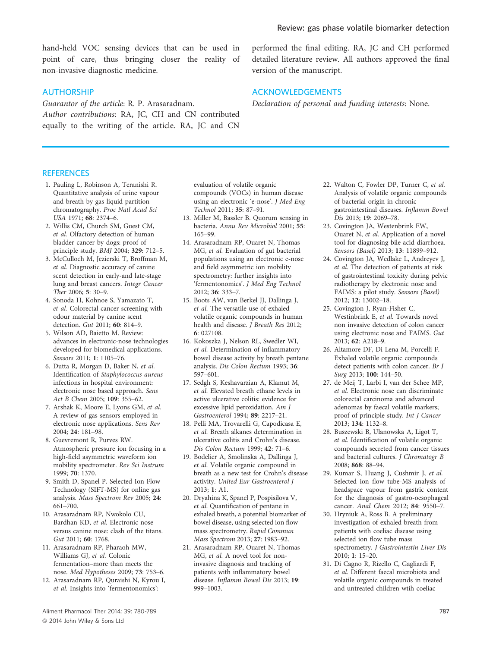hand-held VOC sensing devices that can be used in point of care, thus bringing closer the reality of non-invasive diagnostic medicine.

## AUTHORSHIP

Guarantor of the article: R. P. Arasaradnam. Author contributions: RA, JC, CH and CN contributed equally to the writing of the article. RA, JC and CN

## **REFERENCES**

- 1. Pauling L, Robinson A, Teranishi R. Quantitative analysis of urine vapour and breath by gas liquid partition chromatography. Proc Natl Acad Sci USA 1971; 68: 2374–6.
- 2. Willis CM, Church SM, Guest CM, et al. Olfactory detection of human bladder cancer by dogs: proof of principle study. BMJ 2004; 329: 712–5.
- 3. McCulloch M, Jezierski T, Broffman M, et al. Diagnostic accuracy of canine scent detection in early-and late-stage lung and breast cancers. Integr Cancer Ther 2006; 5: 30–9.
- 4. Sonoda H, Kohnoe S, Yamazato T, et al. Colorectal cancer screening with odour material by canine scent detection. Gut 2011; 60: 814–9.
- 5. Wilson AD, Baietto M. Review: advances in electronic-nose technologies developed for biomedical applications. Sensors 2011; 1: 1105–76.
- 6. Dutta R, Morgan D, Baker N, et al. Identification of Staphylococcus aureus infections in hospital environment: electronic nose based approach. Sens Act B Chem 2005; 109: 355–62.
- 7. Arshak K, Moore E, Lyons GM, et al. A review of gas sensors employed in electronic nose applications. Sens Rev 2004; 24: 181–98.
- 8. Guevremont R, Purves RW. Atmospheric pressure ion focusing in a high-field asymmetric waveform ion mobility spectrometer. Rev Sci Instrum 1999; 70: 1370.
- 9. Smith D, Spanel P. Selected Ion Flow Technology (SIFT-MS) for online gas analysis. Mass Spectrom Rev 2005; 24: 661–700.
- 10. Arasaradnam RP, Nwokolo CU, Bardhan KD, et al. Electronic nose versus canine nose: clash of the titans. Gut 2011; 60: 1768.
- 11. Arasaradnam RP, Pharaoh MW, Williams GJ, et al. Colonic fermentation–more than meets the nose. Med Hypotheses 2009; 73: 753–6.
- 12. Arasaradnam RP, Quraishi N, Kyrou I, et al. Insights into 'fermentonomics':

evaluation of volatile organic compounds (VOCs) in human disease using an electronic 'e-nose'. J Med Eng Technol 2011; 35: 87–91.

- 13. Miller M, Bassler B. Quorum sensing in bacteria. Annu Rev Microbiol 2001; 55: 165–99.
- 14. Arasaradnam RP, Ouaret N, Thomas MG, et al. Evaluation of gut bacterial populations using an electronic e-nose and field asymmetric ion mobility spectrometry: further insights into 'fermentonomics'. J Med Eng Technol 2012; 36: 333–7.
- 15. Boots AW, van Berkel JJ, Dallinga J, et al. The versatile use of exhaled volatile organic compounds in human health and disease. J Breath Res 2012; 6: 027108.
- 16. Kokoszka J, Nelson RL, Swedler WI, et al. Determination of inflammatory bowel disease activity by breath pentane analysis. Dis Colon Rectum 1993; 36: 597–601.
- 17. Sedgh S, Keshavarzian A, Klamut M, et al. Elevated breath ethane levels in active ulcerative colitis: evidence for excessive lipid peroxidation. Am J Gastroenterol 1994; 89: 2217–21.
- 18. Pelli MA, Trovarelli G, Capodicasa E, et al. Breath alkanes determination in ulcerative colitis and Crohn's disease. Dis Colon Rectum 1999; 42: 71–6.
- 19. Bodelier A, Smolinska A, Dallinga J, et al. Volatile organic compound in breath as a new test for Crohn's disease activity. United Eur Gastroenterol J 2013; 1: A1.
- 20. Dryahina K, Spanel P, Pospisilova V, et al. Quantification of pentane in exhaled breath, a potential biomarker of bowel disease, using selected ion flow mass spectrometry. Rapid Commun Mass Spectrom 2013; 27: 1983–92.
- 21. Arasaradnam RP, Ouaret N, Thomas MG, et al. A novel tool for noninvasive diagnosis and tracking of patients with inflammatory bowel disease. Inflamm Bowel Dis 2013; 19: 999–1003.

performed the final editing. RA, JC and CH performed detailed literature review. All authors approved the final version of the manuscript.

## ACKNOWLEDGEMENTS

Declaration of personal and funding interests: None.

- 22. Walton C, Fowler DP, Turner C, et al. Analysis of volatile organic compounds of bacterial origin in chronic gastrointestinal diseases. Inflamm Bowel Dis 2013; 19: 2069–78.
- 23. Covington JA, Westenbrink EW, Ouaret N, et al. Application of a novel tool for diagnosing bile acid diarrhoea. Sensors (Basel) 2013; 13: 11899–912.
- 24. Covington JA, Wedlake L, Andreyev J, et al. The detection of patients at risk of gastrointestinal toxicity during pelvic radiotherapy by electronic nose and FAIMS: a pilot study. Sensors (Basel) 2012; 12: 13002–18.
- 25. Covington J, Ryan-Fisher C, Westinbrink E, et al. Towards novel non invasive detection of colon cancer using electronic nose and FAIMS. Gut 2013; 62: A218–9.
- 26. Altamore DF, Di Lena M, Porcelli F. Exhaled volatile organic compounds detect patients with colon cancer. Br J Surg 2013; 100: 144–50.
- 27. de Meij T, Larbi I, van der Schee MP, et al. Electronic nose can discriminate colorectal carcinoma and advanced adenomas by faecal volatile markers; proof of principle study. Int J Cancer 2013; 134: 1132–8.
- 28. Buszewski B, Ulanowska A, Ligot T, et al. Identification of volatile organic compounds secreted from cancer tissues and bacterial cultures. J Chromatogr B 2008; 868: 88–94.
- 29. Kumar S, Huang J, Cushmir J, et al. Selected ion flow tube-MS analysis of headspace vapour from gastric content for the diagnosis of gastro-oesophageal cancer. Anal Chem 2012; 84: 9550–7.
- 30. Hryniuk A, Ross B. A preliminary investigation of exhaled breath from patients with coeliac disease using selected ion flow tube mass spectrometry. J Gastrointestin Liver Dis 2010; 1: 15–20.
- 31. Di Cagno R, Rizello C, Gagliardi F, et al. Different faecal microbiota and volatile organic compounds in treated and untreated children wtih coeliac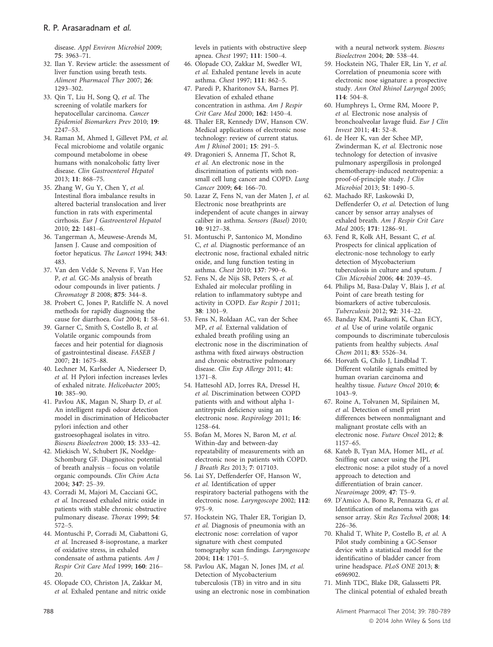disease. Appl Environ Microbiol 2009; 75: 3963–71.

- 32. Ilan Y. Review article: the assessment of liver function using breath tests. Aliment Pharmacol Ther 2007; 26: 1293–302.
- 33. Qin T, Liu H, Song Q, et al. The screening of volatile markers for hepatocellular carcinoma. Cancer Epidemiol Biomarkers Prev 2010; 19: 2247–53.
- 34. Raman M, Ahmed I, Gillevet PM, et al. Fecal microbiome and volatile organic compound metabolome in obese humans with nonalcoholic fatty liver disease. Clin Gastroenterol Hepatol 2013; 11: 868–75.
- 35. Zhang W, Gu Y, Chen Y, et al. Intestinal flora imbalance results in altered bacterial translocation and liver function in rats with experimental cirrhosis. Eur J Gastroenterol Hepatol 2010; 22: 1481–6.
- 36. Tangerman A, Meuwese-Arends M, Jansen J. Cause and composition of foetor hepaticus. The Lancet 1994; 343: 483.
- 37. Van den Velde S, Nevens F, Van Hee P, et al. GC-Ms analysis of breath odour compounds in liver patients. J Chromatogr B 2008; 875: 344–8.
- 38. Probert C, Jones P, Ratcliffe N. A novel methods for rapidly diagnosing the cause for diarrhoea. Gut 2004; 1: 58–61.
- 39. Garner C, Smith S, Costello B, et al. Volatile organic compounds from faeces and heir potential for diagnosis of gastrointestinal disease. FASEB J 2007; 21: 1675–88.
- 40. Lechner M, Karlseder A, Niederseer D, et al. H Pylori infection increases levles of exhaled nitrate. Helicobacter 2005; 10: 385–90.
- 41. Pavlou AK, Magan N, Sharp D, et al. An intelligent rapdi odour detection model in discrimination of Helicobacter pylori infection and other gastroesophageal isolates in vitro. Biosens Bioelectron 2000; 15: 333–42.
- 42. Miekisch W, Schubert JK, Noeldge-Schomburg GF. Diagnositoc potential of breath analysis – focus on volatile organic compounds. Clin Chim Acta 2004; 347: 25–39.
- 43. Corradi M, Majori M, Cacciani GC, et al. Increased exhaled nitric oxide in patients with stable chronic obstructive pulmonary disease. Thorax 1999; 54: 572–5.
- 44. Montuschi P, Corradi M, Ciabattoni G, et al. Increased 8-isoprostane, a marker of oxidative stress, in exhaled condensate of asthma patients. Am J Respir Crit Care Med 1999; 160: 216– 20.
- 45. Olopade CO, Christon JA, Zakkar M, et al. Exhaled pentane and nitric oxide

levels in patients with obstructive sleep apnea. Chest 1997; 111: 1500–4.

- 46. Olopade CO, Zakkar M, Swedler WI, et al. Exhaled pentane levels in acute asthma. Chest 1997; 111: 862–5.
- 47. Paredi P, Kharitonov SA, Barnes PJ. Elevation of exhaled ethane concentration in asthma. Am J Respir Crit Care Med 2000; 162: 1450–4.
- 48. Thaler ER, Kennedy DW, Hanson CW. Medical applications of electronic nose technology: review of current status. Am J Rhinol 2001; 15: 291–5.
- 49. Dragonieri S, Annema JT, Schot R, et al. An electronic nose in the discrimination of patients with nonsmall cell lung cancer and COPD. Lung Cancer 2009; 64: 166–70.
- 50. Lazar Z, Fens N, van der Maten J, et al. Electronic nose breathprints are independent of acute changes in airway caliber in asthma. Sensors (Basel) 2010; 10: 9127–38.
- 51. Montuschi P, Santonico M, Mondino C, et al. Diagnostic performance of an electronic nose, fractional exhaled nitric oxide, and lung function testing in asthma. Chest 2010; 137: 790–6.
- 52. Fens N, de Nijs SB, Peters S, et al. Exhaled air molecular profiling in relation to inflammatory subtype and activity in COPD. Eur Respir J 2011; 38: 1301–9.
- 53. Fens N, Roldaan AC, van der Schee MP, et al. External validation of exhaled breath profiling using an electronic nose in the discrimination of asthma with fixed airways obstruction and chronic obstructive pulmonary disease. Clin Exp Allergy 2011; 41: 1371–8.
- 54. Hattesohl AD, Jorres RA, Dressel H, et al. Discrimination between COPD patients with and without alpha 1 antitrypsin deficiency using an electronic nose. Respirology 2011; 16: 1258–64.
- 55. Bofan M, Mores N, Baron M, et al. Within-day and between-day repeatability of measurements with an electronic nose in patients with COPD. J Breath Res 2013; 7: 017103.
- 56. Lai SY, Deffenderfer OF, Hanson W, et al. Identification of upper respiratory bacterial pathogens with the electronic nose. Laryngoscope 2002; 112: 975–9.
- 57. Hockstein NG, Thaler ER, Torigian D, et al. Diagnosis of pneumonia with an electronic nose: correlation of vapor signature with chest computed tomography scan findings. Laryngoscope 2004; 114: 1701–5.
- 58. Pavlou AK, Magan N, Jones JM, et al. Detection of Mycobacterium tuberculosis (TB) in vitro and in situ using an electronic nose in combination

with a neural network system. Biosens Bioelectron 2004; 20: 538–44.

- 59. Hockstein NG, Thaler ER, Lin Y, et al. Correlation of pneumonia score with electronic nose signature: a prospective study. Ann Otol Rhinol Laryngol 2005; 114: 504–8.
- 60. Humphreys L, Orme RM, Moore P, et al. Electronic nose analysis of bronchoalveolar lavage fluid. Eur J Clin Invest 2011; 41: 52–8.
- 61. de Heer K, van der Schee MP, Zwinderman K, et al. Electronic nose technology for detection of invasive pulmonary aspergillosis in prolonged chemotherapy-induced neutropenia: a proof-of-principle study. J Clin Microbiol 2013; 51: 1490–5.
- 62. Machado RF, Laskowski D, Deffenderfer O, et al. Detection of lung cancer by sensor array analyses of exhaled breath. Am J Respir Crit Care Med 2005; 171: 1286–91.
- 63. Fend R, Kolk AH, Bessant C, et al. Prospects for clinical application of electronic-nose technology to early detection of Mycobacterium tuberculosis in culture and sputum. J Clin Microbiol 2006; 44: 2039–45.
- 64. Philips M, Basa-Dalay V, Blais J, et al. Point of care breath testing for biomarkers of active tuberculosis. Tuberculosis 2012; 92: 314–22.
- 65. Banday KM, Pasikanti K, Chan ECY, et al. Use of urine volatile organic compounds to discriminate tuberculosis patients from healthy subjects. Anal Chem 2011; 83: 5526–34.
- 66. Horvath G, Chilo J, Lindblad T. Different volatile signals emitted by human ovarian carcinoma and healthy tissue. Future Oncol 2010; 6: 1043–9.
- 67. Roine A, Tolvanen M, Sipilainen M, et al. Detection of smell print differences between nonmalignant and malignant prostate cells with an electronic nose. Future Oncol 2012; 8: 1157–65.
- 68. Kateb B, Tyan MA, Homer ML, et al. Sniffing out cancer using the JPL electronic nose: a pilot study of a novel approach to detection and differentiation of brain cancer. Neuroimage 2009; 47: T5–9.
- 69. D'Amico A, Bono R, Pennazza G, et al. Identification of melanoma with gas sensor array. Skin Res Technol 2008; 14: 226–36.
- 70. Khalid T, White P, Costello B, et al. A Pilot study combining a GC-Sensor device with a statistical model for the identificatino of bladder cancer from urine headspace. PLoS ONE 2013; 8: e696902.
- 71. Minh TDC, Blake DR, Galassetti PR. The clinical potential of exhaled breath